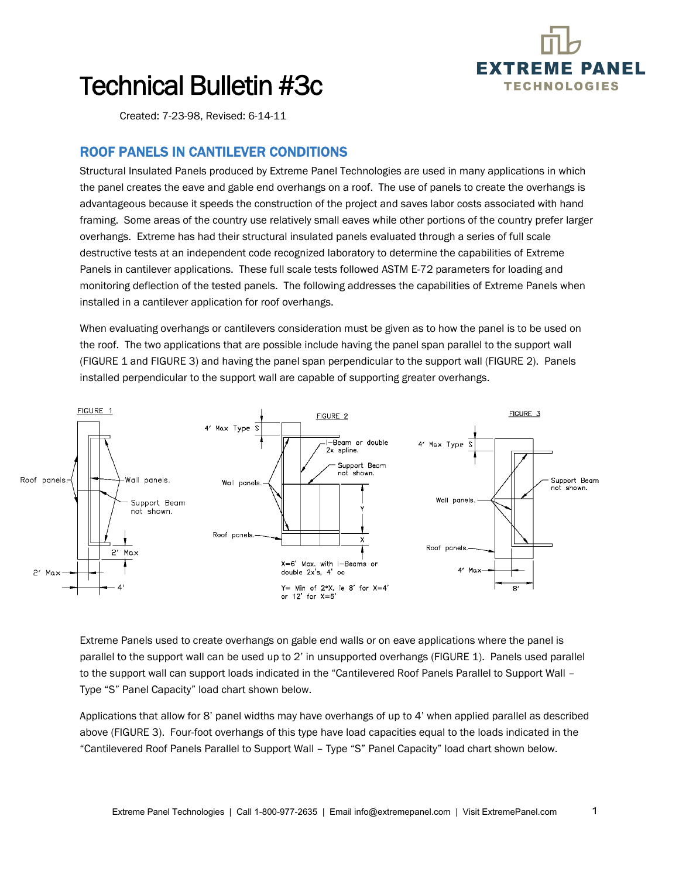

1

## Technical Bulletin #3c

Created: 7-23-98, Revised: 6-14-11

## ROOF PANELS IN CANTILEVER CONDITIONS

Structural Insulated Panels produced by Extreme Panel Technologies are used in many applications in which the panel creates the eave and gable end overhangs on a roof. The use of panels to create the overhangs is advantageous because it speeds the construction of the project and saves labor costs associated with hand framing. Some areas of the country use relatively small eaves while other portions of the country prefer larger overhangs. Extreme has had their structural insulated panels evaluated through a series of full scale destructive tests at an independent code recognized laboratory to determine the capabilities of Extreme Panels in cantilever applications. These full scale tests followed ASTM E-72 parameters for loading and monitoring deflection of the tested panels. The following addresses the capabilities of Extreme Panels when installed in a cantilever application for roof overhangs.

When evaluating overhangs or cantilevers consideration must be given as to how the panel is to be used on the roof. The two applications that are possible include having the panel span parallel to the support wall (FIGURE 1 and FIGURE 3) and having the panel span perpendicular to the support wall (FIGURE 2). Panels installed perpendicular to the support wall are capable of supporting greater overhangs.



Extreme Panels used to create overhangs on gable end walls or on eave applications where the panel is parallel to the support wall can be used up to 2' in unsupported overhangs (FIGURE 1). Panels used parallel to the support wall can support loads indicated in the "Cantilevered Roof Panels Parallel to Support Wall – Type "S" Panel Capacity" load chart shown below.

Applications that allow for 8' panel widths may have overhangs of up to 4' when applied parallel as described above (FIGURE 3). Four-foot overhangs of this type have load capacities equal to the loads indicated in the "Cantilevered Roof Panels Parallel to Support Wall – Type "S" Panel Capacity" load chart shown below.